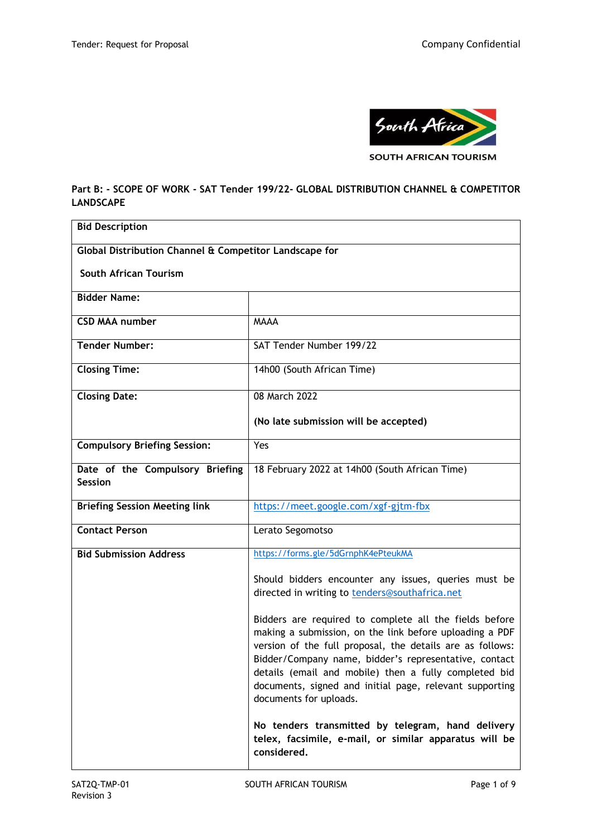

## **Part B: - SCOPE OF WORK - SAT Tender 199/22- GLOBAL DISTRIBUTION CHANNEL & COMPETITOR LANDSCAPE**

| <b>Bid Description</b>                                 |                                                                                                                                                                                                                                                                                                                                                                                       |  |  |
|--------------------------------------------------------|---------------------------------------------------------------------------------------------------------------------------------------------------------------------------------------------------------------------------------------------------------------------------------------------------------------------------------------------------------------------------------------|--|--|
| Global Distribution Channel & Competitor Landscape for |                                                                                                                                                                                                                                                                                                                                                                                       |  |  |
| <b>South African Tourism</b>                           |                                                                                                                                                                                                                                                                                                                                                                                       |  |  |
| <b>Bidder Name:</b>                                    |                                                                                                                                                                                                                                                                                                                                                                                       |  |  |
| <b>CSD MAA number</b>                                  | <b>MAAA</b>                                                                                                                                                                                                                                                                                                                                                                           |  |  |
| <b>Tender Number:</b>                                  | SAT Tender Number 199/22                                                                                                                                                                                                                                                                                                                                                              |  |  |
| <b>Closing Time:</b>                                   | 14h00 (South African Time)                                                                                                                                                                                                                                                                                                                                                            |  |  |
| <b>Closing Date:</b>                                   | 08 March 2022                                                                                                                                                                                                                                                                                                                                                                         |  |  |
|                                                        | (No late submission will be accepted)                                                                                                                                                                                                                                                                                                                                                 |  |  |
| <b>Compulsory Briefing Session:</b>                    | Yes                                                                                                                                                                                                                                                                                                                                                                                   |  |  |
| Date of the Compulsory Briefing<br><b>Session</b>      | 18 February 2022 at 14h00 (South African Time)                                                                                                                                                                                                                                                                                                                                        |  |  |
| <b>Briefing Session Meeting link</b>                   | https://meet.google.com/xgf-gjtm-fbx                                                                                                                                                                                                                                                                                                                                                  |  |  |
| <b>Contact Person</b>                                  | Lerato Segomotso                                                                                                                                                                                                                                                                                                                                                                      |  |  |
| <b>Bid Submission Address</b>                          | https://forms.gle/5dGrnphK4ePteukMA                                                                                                                                                                                                                                                                                                                                                   |  |  |
|                                                        | Should bidders encounter any issues, queries must be<br>directed in writing to tenders@southafrica.net                                                                                                                                                                                                                                                                                |  |  |
|                                                        | Bidders are required to complete all the fields before<br>making a submission, on the link before uploading a PDF<br>version of the full proposal, the details are as follows:<br>Bidder/Company name, bidder's representative, contact<br>details (email and mobile) then a fully completed bid<br>documents, signed and initial page, relevant supporting<br>documents for uploads. |  |  |
|                                                        | No tenders transmitted by telegram, hand delivery<br>telex, facsimile, e-mail, or similar apparatus will be<br>considered.                                                                                                                                                                                                                                                            |  |  |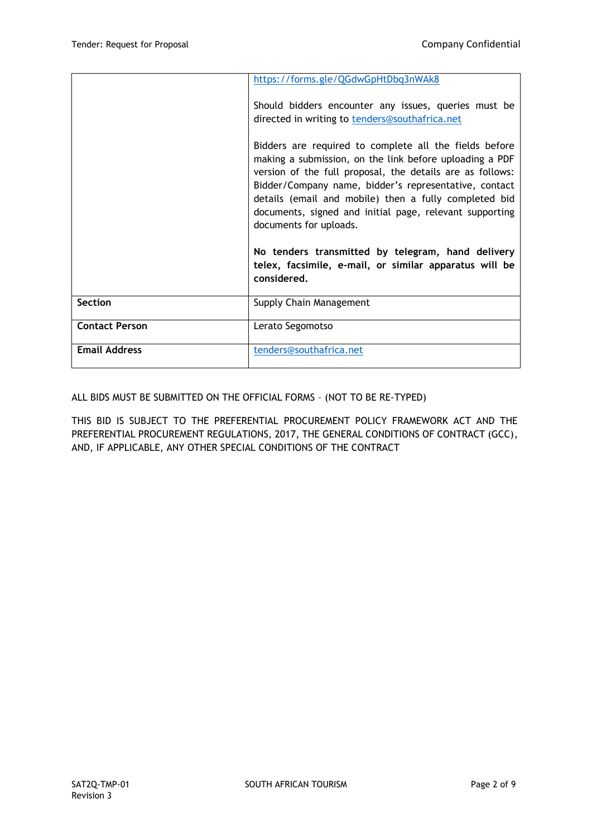|                       | https://forms.gle/QGdwGpHtDbq3nWAk8                                                                                                                                                                                                                                                                                                                                                   |
|-----------------------|---------------------------------------------------------------------------------------------------------------------------------------------------------------------------------------------------------------------------------------------------------------------------------------------------------------------------------------------------------------------------------------|
|                       | Should bidders encounter any issues, queries must be<br>directed in writing to tenders@southafrica.net                                                                                                                                                                                                                                                                                |
|                       | Bidders are required to complete all the fields before<br>making a submission, on the link before uploading a PDF<br>version of the full proposal, the details are as follows:<br>Bidder/Company name, bidder's representative, contact<br>details (email and mobile) then a fully completed bid<br>documents, signed and initial page, relevant supporting<br>documents for uploads. |
|                       | No tenders transmitted by telegram, hand delivery<br>telex, facsimile, e-mail, or similar apparatus will be<br>considered.                                                                                                                                                                                                                                                            |
| <b>Section</b>        | Supply Chain Management                                                                                                                                                                                                                                                                                                                                                               |
| <b>Contact Person</b> | Lerato Segomotso                                                                                                                                                                                                                                                                                                                                                                      |
| <b>Email Address</b>  | tenders@southafrica.net                                                                                                                                                                                                                                                                                                                                                               |

ALL BIDS MUST BE SUBMITTED ON THE OFFICIAL FORMS – (NOT TO BE RE-TYPED)

THIS BID IS SUBJECT TO THE PREFERENTIAL PROCUREMENT POLICY FRAMEWORK ACT AND THE PREFERENTIAL PROCUREMENT REGULATIONS, 2017, THE GENERAL CONDITIONS OF CONTRACT (GCC), AND, IF APPLICABLE, ANY OTHER SPECIAL CONDITIONS OF THE CONTRACT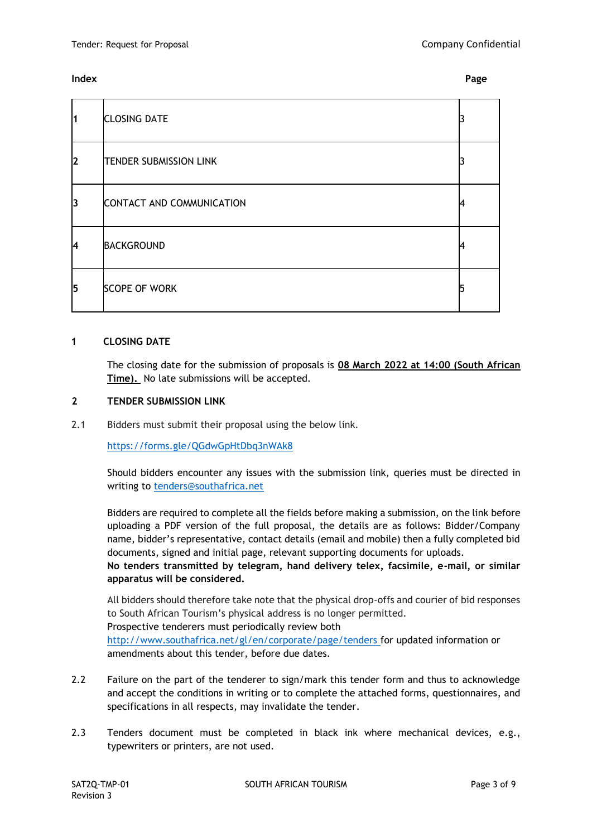### **Index Page**

| $\overline{\mathbf{1}}$ | <b>CLOSING DATE</b>           |  |
|-------------------------|-------------------------------|--|
| 12                      | <b>TENDER SUBMISSION LINK</b> |  |
| 3                       | CONTACT AND COMMUNICATION     |  |
| l4                      | <b>BACKGROUND</b>             |  |
| 5                       | <b>SCOPE OF WORK</b>          |  |

#### **1 CLOSING DATE**

The closing date for the submission of proposals is **08 March 2022 at 14:00 (South African Time).** No late submissions will be accepted.

## **2 TENDER SUBMISSION LINK**

2.1 Bidders must submit their proposal using the below link.

<https://forms.gle/QGdwGpHtDbq3nWAk8>

Should bidders encounter any issues with the submission link, queries must be directed in writing to [tenders@southafrica.net](mailto:tenders@southafrica.net)

Bidders are required to complete all the fields before making a submission, on the link before uploading a PDF version of the full proposal, the details are as follows: Bidder/Company name, bidder's representative, contact details (email and mobile) then a fully completed bid documents, signed and initial page, relevant supporting documents for uploads.

**No tenders transmitted by telegram, hand delivery telex, facsimile, e-mail, or similar apparatus will be considered.**

All bidders should therefore take note that the physical drop-offs and courier of bid responses to South African Tourism's physical address is no longer permitted. Prospective tenderers must periodically review both

<http://www.southafrica.net/gl/en/corporate/page/tenders> for updated information or amendments about this tender, before due dates.

- 2.2 Failure on the part of the tenderer to sign/mark this tender form and thus to acknowledge and accept the conditions in writing or to complete the attached forms, questionnaires, and specifications in all respects, may invalidate the tender.
- 2.3 Tenders document must be completed in black ink where mechanical devices, e.g., typewriters or printers, are not used.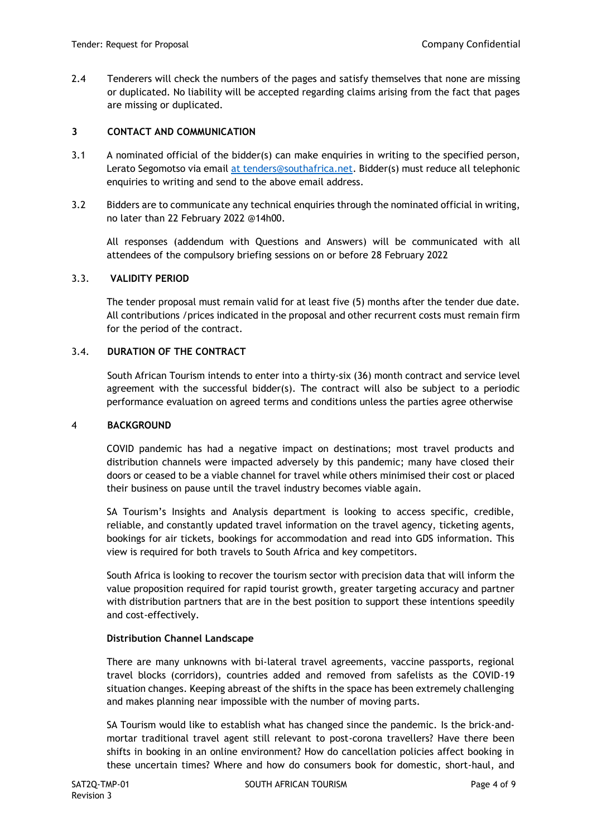2.4 Tenderers will check the numbers of the pages and satisfy themselves that none are missing or duplicated. No liability will be accepted regarding claims arising from the fact that pages are missing or duplicated.

### **3 CONTACT AND COMMUNICATION**

- 3.1 A nominated official of the bidder(s) can make enquiries in writing to the specified person, Lerato Segomotso via email [at tenders@southafrica.net.](mailto:at%20tenders@southafrica.net) Bidder(s) must reduce all telephonic enquiries to writing and send to the above email address.
- 3.2 Bidders are to communicate any technical enquiries through the nominated official in writing, no later than 22 February 2022 @14h00.

All responses (addendum with Questions and Answers) will be communicated with all attendees of the compulsory briefing sessions on or before 28 February 2022

# 3.3. **VALIDITY PERIOD**

The tender proposal must remain valid for at least five (5) months after the tender due date. All contributions /prices indicated in the proposal and other recurrent costs must remain firm for the period of the contract.

## 3.4. **DURATION OF THE CONTRACT**

South African Tourism intends to enter into a thirty-six (36) month contract and service level agreement with the successful bidder(s). The contract will also be subject to a periodic performance evaluation on agreed terms and conditions unless the parties agree otherwise

#### 4 **BACKGROUND**

COVID pandemic has had a negative impact on destinations; most travel products and distribution channels were impacted adversely by this pandemic; many have closed their doors or ceased to be a viable channel for travel while others minimised their cost or placed their business on pause until the travel industry becomes viable again.

SA Tourism's Insights and Analysis department is looking to access specific, credible, reliable, and constantly updated travel information on the travel agency, ticketing agents, bookings for air tickets, bookings for accommodation and read into GDS information. This view is required for both travels to South Africa and key competitors.

South Africa is looking to recover the tourism sector with precision data that will inform the value proposition required for rapid tourist growth, greater targeting accuracy and partner with distribution partners that are in the best position to support these intentions speedily and cost-effectively.

#### **Distribution Channel Landscape**

There are many unknowns with bi-lateral travel agreements, vaccine passports, regional travel blocks (corridors), countries added and removed from safelists as the COVID-19 situation changes. Keeping abreast of the shifts in the space has been extremely challenging and makes planning near impossible with the number of moving parts.

SA Tourism would like to establish what has changed since the pandemic. Is the brick-andmortar traditional travel agent still relevant to post-corona travellers? Have there been shifts in booking in an online environment? How do cancellation policies affect booking in these uncertain times? Where and how do consumers book for domestic, short-haul, and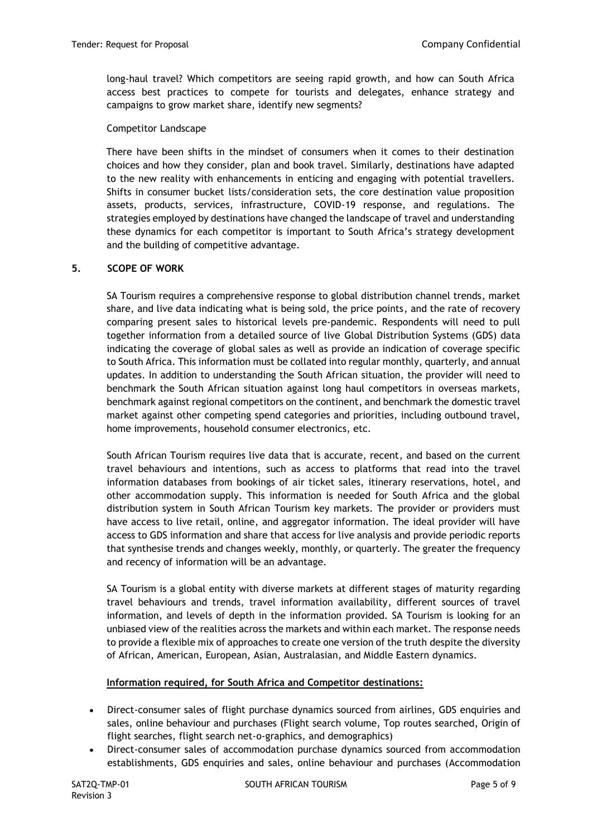long-haul travel? Which competitors are seeing rapid growth, and how can South Africa access best practices to compete for tourists and delegates, enhance strategy and campaigns to grow market share, identify new segments?

#### Competitor Landscape

There have been shifts in the mindset of consumers when it comes to their destination choices and how they consider, plan and book travel. Similarly, destinations have adapted to the new reality with enhancements in enticing and engaging with potential travellers. Shifts in consumer bucket lists/consideration sets, the core destination value proposition assets, products, services, infrastructure, COVID-19 response, and regulations. The strategies employed by destinations have changed the landscape of travel and understanding these dynamics for each competitor is important to South Africa's strategy development and the building of competitive advantage.

## **5. SCOPE OF WORK**

SA Tourism requires a comprehensive response to global distribution channel trends, market share, and live data indicating what is being sold, the price points, and the rate of recovery comparing present sales to historical levels pre-pandemic. Respondents will need to pull together information from a detailed source of live Global Distribution Systems (GDS) data indicating the coverage of global sales as well as provide an indication of coverage specific to South Africa. This information must be collated into regular monthly, quarterly, and annual updates. In addition to understanding the South African situation, the provider will need to benchmark the South African situation against long haul competitors in overseas markets, benchmark against regional competitors on the continent, and benchmark the domestic travel market against other competing spend categories and priorities, including outbound travel, home improvements, household consumer electronics, etc.

South African Tourism requires live data that is accurate, recent, and based on the current travel behaviours and intentions, such as access to platforms that read into the travel information databases from bookings of air ticket sales, itinerary reservations, hotel, and other accommodation supply. This information is needed for South Africa and the global distribution system in South African Tourism key markets. The provider or providers must have access to live retail, online, and aggregator information. The ideal provider will have access to GDS information and share that access for live analysis and provide periodic reports that synthesise trends and changes weekly, monthly, or quarterly. The greater the frequency and recency of information will be an advantage.

SA Tourism is a global entity with diverse markets at different stages of maturity regarding travel behaviours and trends, travel information availability, different sources of travel information, and levels of depth in the information provided. SA Tourism is looking for an unbiased view of the realities across the markets and within each market. The response needs to provide a flexible mix of approaches to create one version of the truth despite the diversity of African, American, European, Asian, Australasian, and Middle Eastern dynamics.

#### **Information required, for South Africa and Competitor destinations:**

- Direct-consumer sales of flight purchase dynamics sourced from airlines, GDS enquiries and sales, online behaviour and purchases (Flight search volume, Top routes searched, Origin of flight searches, flight search net-o-graphics, and demographics)
- Direct-consumer sales of accommodation purchase dynamics sourced from accommodation establishments, GDS enquiries and sales, online behaviour and purchases (Accommodation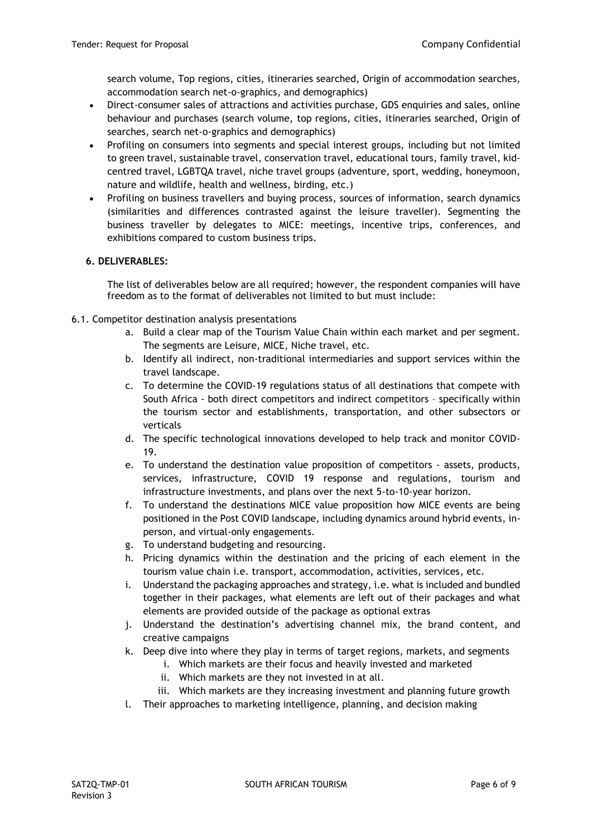search volume, Top regions, cities, itineraries searched, Origin of accommodation searches, accommodation search net-o-graphics, and demographics)

- Direct-consumer sales of attractions and activities purchase, GDS enquiries and sales, online behaviour and purchases (search volume, top regions, cities, itineraries searched, Origin of searches, search net-o-graphics and demographics)
- Profiling on consumers into segments and special interest groups, including but not limited to green travel, sustainable travel, conservation travel, educational tours, family travel, kidcentred travel, LGBTQA travel, niche travel groups (adventure, sport, wedding, honeymoon, nature and wildlife, health and wellness, birding, etc.)
- Profiling on business travellers and buying process, sources of information, search dynamics (similarities and differences contrasted against the leisure traveller). Segmenting the business traveller by delegates to MICE: meetings, incentive trips, conferences, and exhibitions compared to custom business trips.

## **6. DELIVERABLES:**

The list of deliverables below are all required; however, the respondent companies will have freedom as to the format of deliverables not limited to but must include:

- 6.1. Competitor destination analysis presentations
	- a. Build a clear map of the Tourism Value Chain within each market and per segment. The segments are Leisure, MICE, Niche travel, etc.
	- b. Identify all indirect, non-traditional intermediaries and support services within the travel landscape.
	- c. To determine the COVID-19 regulations status of all destinations that compete with South Africa - both direct competitors and indirect competitors – specifically within the tourism sector and establishments, transportation, and other subsectors or verticals
	- d. The specific technological innovations developed to help track and monitor COVID-19.
	- e. To understand the destination value proposition of competitors assets, products, services, infrastructure, COVID 19 response and regulations, tourism and infrastructure investments, and plans over the next 5-to-10-year horizon.
	- f. To understand the destinations MICE value proposition how MICE events are being positioned in the Post COVID landscape, including dynamics around hybrid events, inperson, and virtual-only engagements.
	- g. To understand budgeting and resourcing.
	- h. Pricing dynamics within the destination and the pricing of each element in the tourism value chain i.e. transport, accommodation, activities, services, etc.
	- i. Understand the packaging approaches and strategy, i.e. what is included and bundled together in their packages, what elements are left out of their packages and what elements are provided outside of the package as optional extras
	- j. Understand the destination's advertising channel mix, the brand content, and creative campaigns
	- k. Deep dive into where they play in terms of target regions, markets, and segments
		- i. Which markets are their focus and heavily invested and marketed
		- ii. Which markets are they not invested in at all.
		- iii. Which markets are they increasing investment and planning future growth
	- l. Their approaches to marketing intelligence, planning, and decision making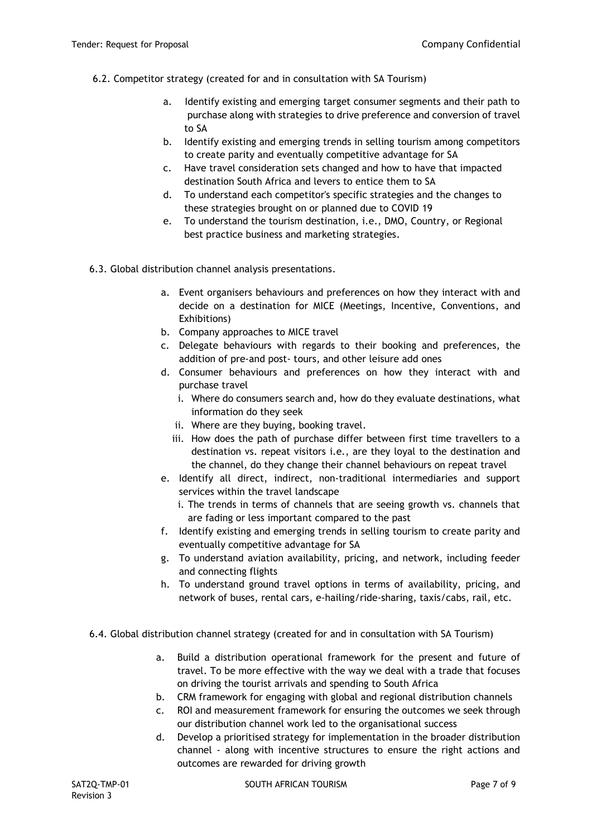- 6.2. Competitor strategy (created for and in consultation with SA Tourism)
	- a. Identify existing and emerging target consumer segments and their path to purchase along with strategies to drive preference and conversion of travel to SA
	- b. Identify existing and emerging trends in selling tourism among competitors to create parity and eventually competitive advantage for SA
	- c. Have travel consideration sets changed and how to have that impacted destination South Africa and levers to entice them to SA
	- d. To understand each competitor's specific strategies and the changes to these strategies brought on or planned due to COVID 19
	- e. To understand the tourism destination, i.e., DMO, Country, or Regional best practice business and marketing strategies.
- 6.3. Global distribution channel analysis presentations.
	- a. Event organisers behaviours and preferences on how they interact with and decide on a destination for MICE (Meetings, Incentive, Conventions, and Exhibitions)
	- b. Company approaches to MICE travel
	- c. Delegate behaviours with regards to their booking and preferences, the addition of pre-and post- tours, and other leisure add ones
	- d. Consumer behaviours and preferences on how they interact with and purchase travel
		- i. Where do consumers search and, how do they evaluate destinations, what information do they seek
		- ii. Where are they buying, booking travel.
		- iii. How does the path of purchase differ between first time travellers to a destination vs. repeat visitors i.e., are they loyal to the destination and the channel, do they change their channel behaviours on repeat travel
	- e. Identify all direct, indirect, non-traditional intermediaries and support services within the travel landscape
		- i. The trends in terms of channels that are seeing growth vs. channels that are fading or less important compared to the past
	- f. Identify existing and emerging trends in selling tourism to create parity and eventually competitive advantage for SA
	- g. To understand aviation availability, pricing, and network, including feeder and connecting flights
	- h. To understand ground travel options in terms of availability, pricing, and network of buses, rental cars, e-hailing/ride-sharing, taxis/cabs, rail, etc.
- 6.4. Global distribution channel strategy (created for and in consultation with SA Tourism)
	- a. Build a distribution operational framework for the present and future of travel. To be more effective with the way we deal with a trade that focuses on driving the tourist arrivals and spending to South Africa
	- b. CRM framework for engaging with global and regional distribution channels
	- c. ROI and measurement framework for ensuring the outcomes we seek through our distribution channel work led to the organisational success
	- d. Develop a prioritised strategy for implementation in the broader distribution channel - along with incentive structures to ensure the right actions and outcomes are rewarded for driving growth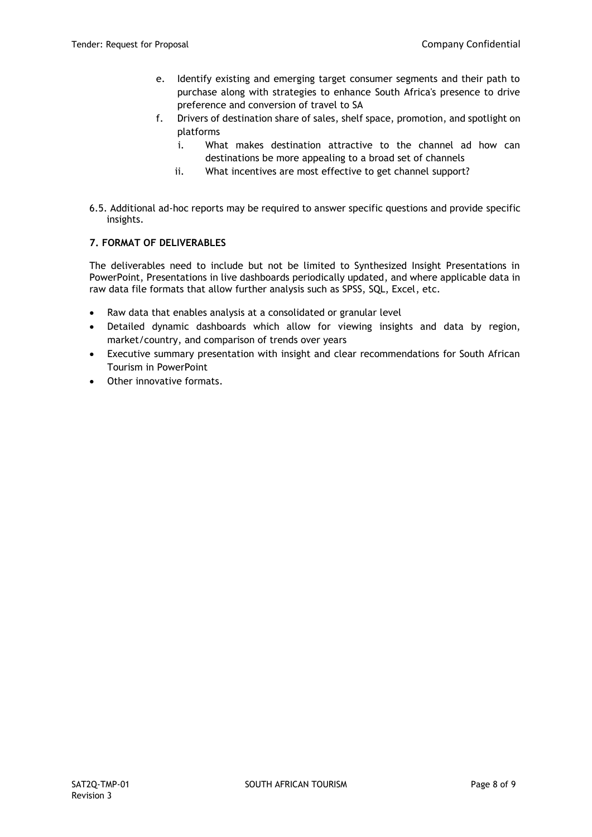- e. Identify existing and emerging target consumer segments and their path to purchase along with strategies to enhance South Africa's presence to drive preference and conversion of travel to SA
- f. Drivers of destination share of sales, shelf space, promotion, and spotlight on platforms
	- i. What makes destination attractive to the channel ad how can destinations be more appealing to a broad set of channels
	- ii. What incentives are most effective to get channel support?
- 6.5. Additional ad-hoc reports may be required to answer specific questions and provide specific insights.

# **7. FORMAT OF DELIVERABLES**

The deliverables need to include but not be limited to Synthesized Insight Presentations in PowerPoint, Presentations in live dashboards periodically updated, and where applicable data in raw data file formats that allow further analysis such as SPSS, SQL, Excel, etc.

- Raw data that enables analysis at a consolidated or granular level
- Detailed dynamic dashboards which allow for viewing insights and data by region, market/country, and comparison of trends over years
- Executive summary presentation with insight and clear recommendations for South African Tourism in PowerPoint
- Other innovative formats.